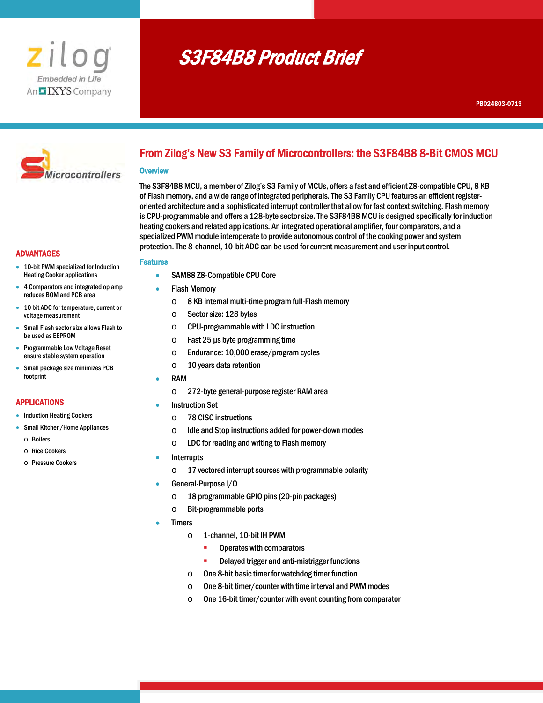

# S3F84B8 Product Brief



# From Zilog's New S3 Family of Microcontrollers: the S3F84B8 8-Bit CMOS MCU

#### **Overview**

The S3F84B8 MCU, a member of Zilog's S3 Family of MCUs, offers a fast and efficient Z8-compatible CPU, 8 KB of Flash memory, and a wide range of integrated peripherals. The S3 Family CPU features an efficient registeroriented architecture and a sophisticated interrupt controller that allow for fast context switching. Flash memory is CPU-programmable and offers a 128-byte sector size. The S3F84B8 MCU is designed specifically for induction heating cookers and related applications. An integrated operational amplifier, four comparators, and a specialized PWM module interoperate to provide autonomous control of the cooking power and system protection. The 8-channel, 10-bit ADC can be used for current measurement and user input control.

# ADVANTAGES

- 10-bit PWM specialized for Induction Heating Cooker applications
- 4 Comparators and integrated op amp reduces BOM and PCB area
- 10 bit ADC for temperature, current or voltage measurement
- Small Flash sector size allows Flash to be used as EEPROM
- Programmable Low Voltage Reset ensure stable system operation
- Small package size minimizes PCB footprint

# APPLICATIONS

- Induction Heating Cookers
- Small Kitchen/Home Appliances
	- o Boilers
	- o Rice Cookers
	- o Pressure Cookers

# Features

- SAM88 Z8-Compatible CPU Core
- Flash Memory
	- o 8 KB internal multi-time program full-Flash memory
	- o Sector size: 128 bytes
	- o CPU-programmable with LDC instruction
	- $\circ$  Fast 25 µs byte programming time
	- o Endurance: 10,000 erase/program cycles
	- $\circ$  10 years data retention
	- RAM
	- o 272-byte general-purpose register RAM area
- Instruction Set
	- o 78 CISC instructions
	- o Idle and Stop instructions added for power-down modes
	- o LDC for reading and writing to Flash memory
- Interrupts
	- $\circ$  17 vectored interrupt sources with programmable polarity
- General-Purpose I/O
	- $\circ$  18 programmable GPIO pins (20-pin packages)
	- o Bit-programmable ports
- Timers
	- o 1-channel, 10-bit IH PWM
		- **•** Operates with comparators
		- **-** Delayed trigger and anti-mistrigger functions
	- o One 8-bit basic timer for watchdog timer function
	- o One 8-bit timer/counter with time interval and PWM modes
	- o One 16-bit timer/counter with event counting from comparator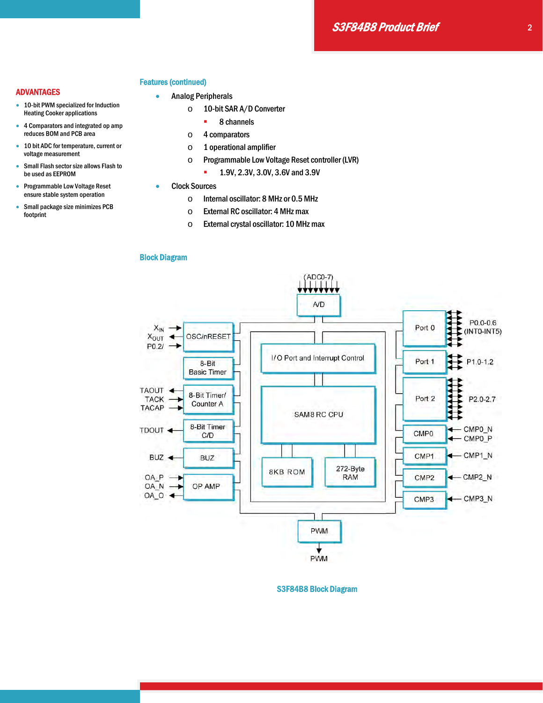#### Features (continued)

- **•** Analog Peripherals
	- o 10-bit SAR A/D Converter
		- 8 channels
	- o 4 comparators
	- o 1 operational amplifier
	- o Programmable Low Voltage Reset controller (LVR)
		- **1.9V, 2.3V, 3.0V, 3.6V and 3.9V**
- Clock Sources
	- o Internal oscillator: 8 MHz or 0.5 MHz
	- o External RC oscillator: 4 MHz max
	- o External crystal oscillator: 10 MHz max

# Block Diagram



S3F84B8 Block Diagram

#### ADVANTAGES

- 10-bit PWM specialized for Induction Heating Cooker applications
- 4 Comparators and integrated op amp reduces BOM and PCB area
- 10 bit ADC for temperature, current or voltage measurement
- Small Flash sector size allows Flash to be used as EEPROM
- Programmable Low Voltage Reset ensure stable system operation
- Small package size minimizes PCB footprint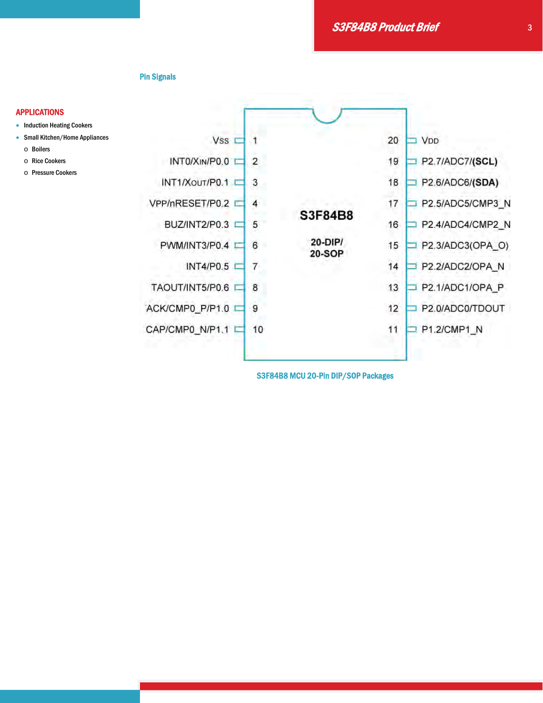S3F84B8 Product Brief

Pin Signals

#### APPLICATIONS

- Induction Heating Cookers
- Small Kitchen/Home Appliances
	- o Boilers
	- o Rice Cookers
	- o Pressure Cookers



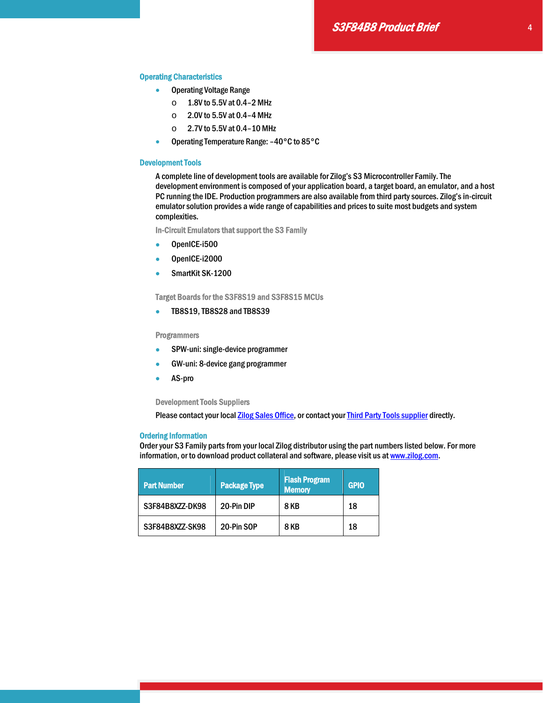#### Operating Characteristics

- **Operating Voltage Range** 
	- $\circ$  1.8V to 5.5V at 0.4-2 MHz
	- o 2.0V to 5.5V at 0.4–4 MHz
	- o 2.7V to 5.5V at 0.4–10 MHz
- Operating Temperature Range: -40°C to 85°C

#### Development Tools

A complete line of development tools are available for Zilog's S3 Microcontroller Family. The development environment is composed of your application board, a target board, an emulator, and a host PC running the IDE. Production programmers are also available from third party sources. Zilog's in-circuit emulator solution provides a wide range of capabilities and prices to suite most budgets and system complexities.

In-Circuit Emulators that support the S3 Family

- OpenICE-i500
- OpenICE-i2000
- SmartKit SK-1200

Target Boards for the S3F8S19 and S3F8S15 MCUs

**• TB8S19, TB8S28 and TB8S39** 

**Programmers** 

- SPW-uni: single-device programmer
- GW-uni: 8-device gang programmer
- AS-pro

#### Development Tools Suppliers

Please contact your local Zilog Sales Office, or contact your Third Party Tools supplier directly.

#### Ordering Information

Order your S3 Family parts from your local Zilog distributor using the part numbers listed below. For more information, or to download product collateral and software, please visit us at www.zilog.com.

| <b>Part Number</b> | <b>Package Type</b> | <b>Flash Program</b><br><b>Memory</b> | <b>GPIO</b> |
|--------------------|---------------------|---------------------------------------|-------------|
| S3F84B8XZZ-DK98    | 20-Pin DIP          | <b>8 KB</b>                           | 18          |
| S3F84B8XZZ-SK98    | 20-Pin SOP          | 8 KB                                  | 18          |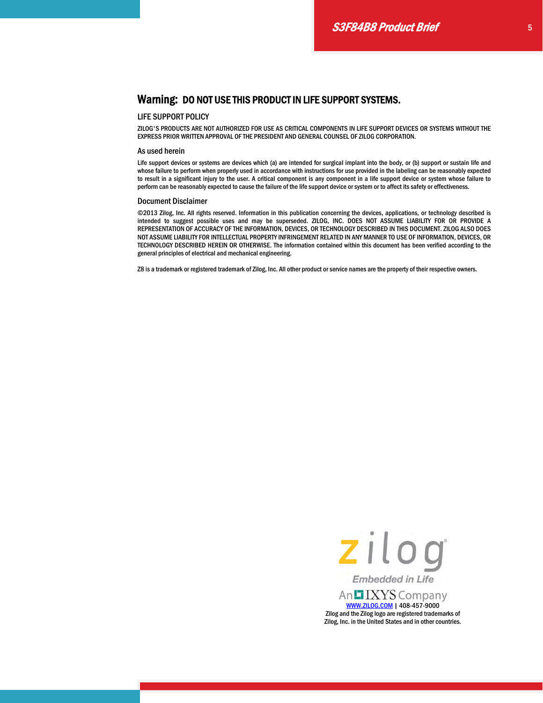#### LIFE SUPPORT POLICY

ZILOG'S PRODUCTS ARE NOT AUTHORIZED FOR USE AS CRITICAL COMPONENTS IN LIFE SUPPORT DEVICES OR SYSTEMS WITHOUT THE EXPRESS PRIOR WRITTEN APPROVAL OF THE PRESIDENT AND GENERAL COUNSEL OF ZILOG CORPORATION.

#### As used herein

Life support devices or systems are devices which (a) are intended for surgical implant into the body, or (b) support or sustain life and whose failure to perform when properly used in accordance with instructions for use provided in the labeling can be reasonably expected to result in a significant injury to the user. A critical component is any component in a life support device or system whose failure to perform can be reasonably expected to cause the failure of the life support device or system or to affect its safety or effectiveness.

#### Document Disclaimer

©2013 Zilog, Inc. All rights reserved. Information in this publication concerning the devices, applications, or technology described is intended to suggest possible uses and may be superseded. ZILOG, INC. DOES NOT ASSUME LIABILITY FOR OR PROVIDE A REPRESENTATION OF ACCURACY OF THE INFORMATION, DEVICES, OR TECHNOLOGY DESCRIBED IN THIS DOCUMENT. ZILOG ALSO DOES NOT ASSUME LIABILITY FOR INTELLECTUAL PROPERTY INFRINGEMENT RELATED IN ANY MANNER TO USE OF INFORMATION, DEVICES, OR TECHNOLOGY DESCRIBED HEREIN OR OTHERWISE. The information contained within this document has been verified according to the general principles of electrical and mechanical engineering.

Z8 is a trademark or registered trademark of Zilog, Inc. All other product or service names are the property of their respective owners.